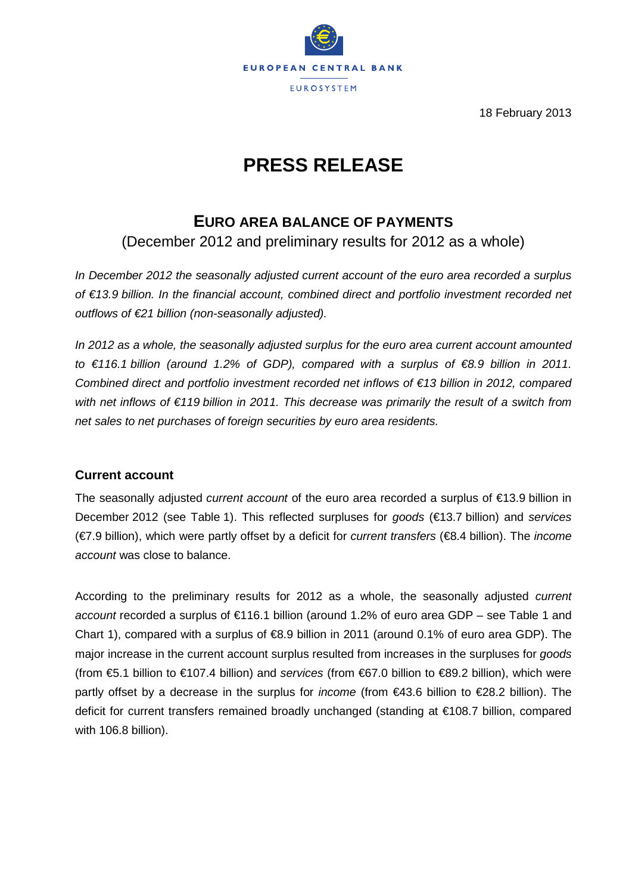

18 February 2013

# **PRESS RELEASE**

# **EURO AREA BALANCE OF PAYMENTS**

(December 2012 and preliminary results for 2012 as a whole)

*In December 2012 the seasonally adjusted current account of the euro area recorded a surplus of €13.9 billion. In the financial account, combined direct and portfolio investment recorded net outflows of €21 billion (non-seasonally adjusted).* 

*In 2012 as a whole, the seasonally adjusted surplus for the euro area current account amounted to €116.1 billion (around 1.2% of GDP), compared with a surplus of €8.9 billion in 2011. Combined direct and portfolio investment recorded net inflows of €13 billion in 2012, compared with net inflows of €119 billion in 2011. This decrease was primarily the result of a switch from net sales to net purchases of foreign securities by euro area residents.*

# **Current account**

The seasonally adjusted *current account* of the euro area recorded a surplus of €13.9 billion in December 2012 (see Table 1). This reflected surpluses for *goods* (€13.7 billion) and *services* (€7.9 billion), which were partly offset by a deficit for *current transfers* (€8.4 billion). The *income account* was close to balance.

According to the preliminary results for 2012 as a whole, the seasonally adjusted *current account* recorded a surplus of €116.1 billion (around 1.2% of euro area GDP – see Table 1 and Chart 1), compared with a surplus of  $\infty$ .9 billion in 2011 (around 0.1% of euro area GDP). The major increase in the current account surplus resulted from increases in the surpluses for *goods* (from €5.1 billion to €107.4 billion) and *services* (from €67.0 billion to €89.2 billion), which were partly offset by a decrease in the surplus for *income* (from €43.6 billion to €28.2 billion). The deficit for current transfers remained broadly unchanged (standing at €108.7 billion, compared with 106.8 billion).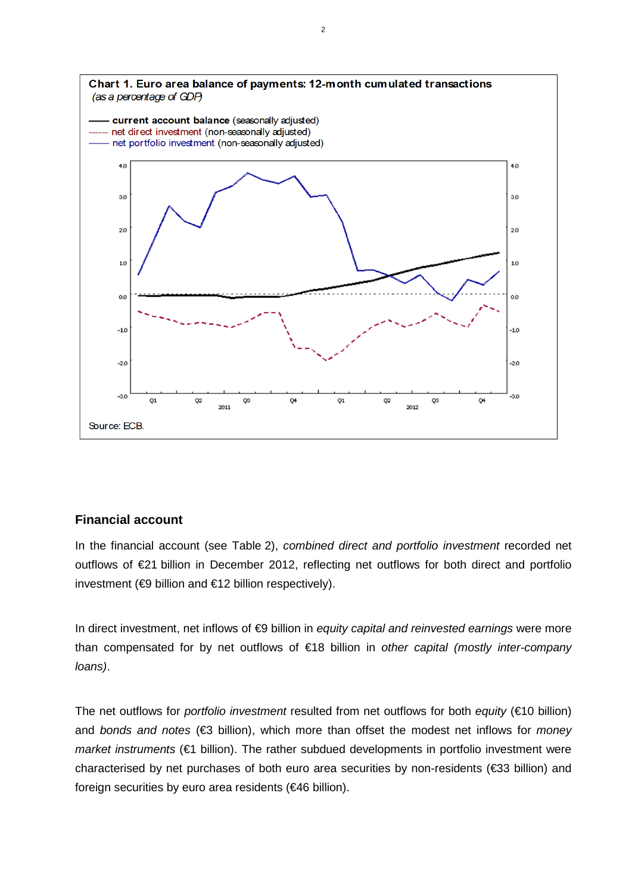

## **Financial account**

In the financial account (see Table 2), *combined direct and portfolio investment* recorded net outflows of €21 billion in December 2012, reflecting net outflows for both direct and portfolio investment (€9 billion and €12 billion respectively).

In direct investment, net inflows of €9 billion in *equity capital and reinvested earnings* were more than compensated for by net outflows of €18 billion in *other capital (mostly inter-company loans)*.

The net outflows for *portfolio investment* resulted from net outflows for both *equity* (€10 billion) and *bonds and notes* (€3 billion), which more than offset the modest net inflows for *money market instruments* (€1 billion). The rather subdued developments in portfolio investment were characterised by net purchases of both euro area securities by non-residents (€33 billion) and foreign securities by euro area residents (€46 billion).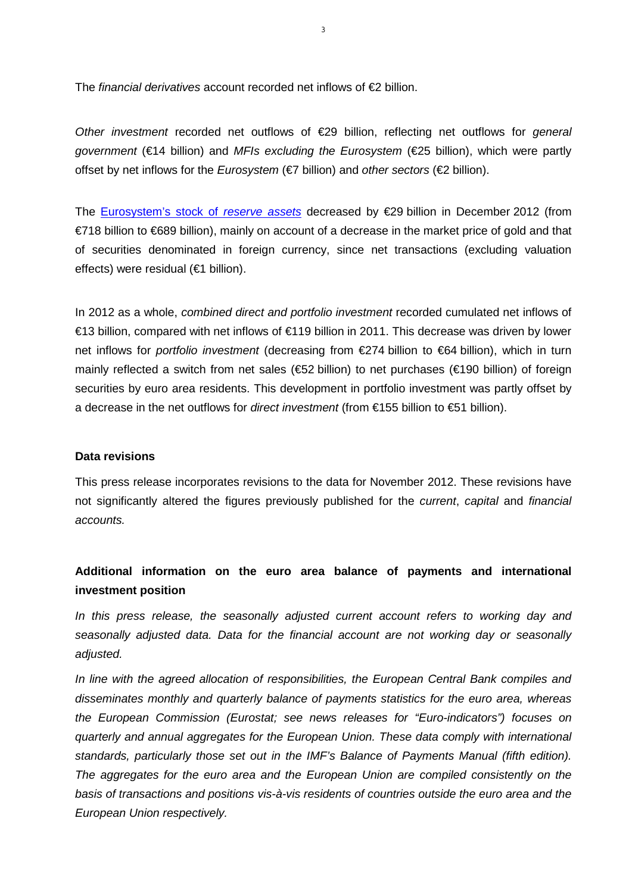The *financial derivatives* account recorded net inflows of €2 billion.

*Other investment* recorded net outflows of €29 billion, reflecting net outflows for *general government* (€14 billion) and *MFIs excluding the Eurosystem* (€25 billion), which were partly offset by net inflows for the *Eurosystem* (€7 billion) and *other sectors* (€2 billion).

The [Eurosystem's stock of](http://www.ecb.europa.eu/stats/external/reserves/html/index.en.html) *reserve assets* decreased by €29 billion in December 2012 (from €718 billion to €689 billion), mainly on account of a decrease in the market price of gold and that of securities denominated in foreign currency, since net transactions (excluding valuation effects) were residual (€1 billion).

In 2012 as a whole, *combined direct and portfolio investment* recorded cumulated net inflows of €13 billion, compared with net inflows of €119 billion in 2011. This decrease was driven by lower net inflows for *portfolio investment* (decreasing from €274 billion to €64 billion), which in turn mainly reflected a switch from net sales (€52 billion) to net purchases (€190 billion) of foreign securities by euro area residents. This development in portfolio investment was partly offset by a decrease in the net outflows for *direct investment* (from €155 billion to €51 billion).

#### **Data revisions**

This press release incorporates revisions to the data for November 2012. These revisions have not significantly altered the figures previously published for the *current*, *capital* and *financial accounts.*

# **Additional information on the euro area balance of payments and international investment position**

*In this press release, the seasonally adjusted current account refers to working day and seasonally adjusted data. Data for the financial account are not working day or seasonally adjusted.*

*In line with the agreed allocation of responsibilities, the European Central Bank compiles and disseminates monthly and quarterly balance of payments statistics for the euro area, whereas the European Commission (Eurostat; see news releases for "Euro-indicators") focuses on quarterly and annual aggregates for the European Union. These data comply with international standards, particularly those set out in the IMF's Balance of Payments Manual (fifth edition). The aggregates for the euro area and the European Union are compiled consistently on the basis of transactions and positions vis-à-vis residents of countries outside the euro area and the European Union respectively.*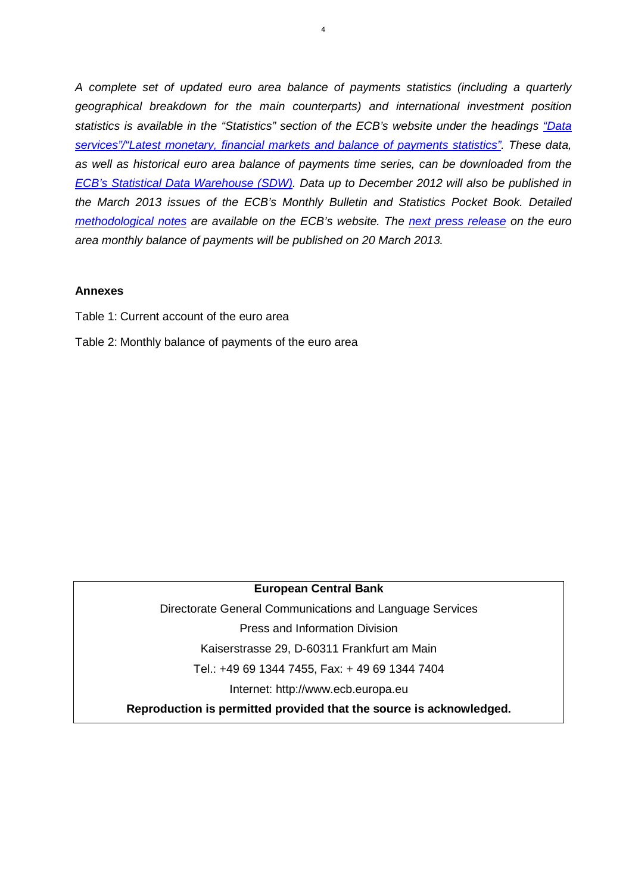*A complete set of updated euro area balance of payments statistics (including a quarterly geographical breakdown for the main counterparts) and international investment position statistics is available in the "Statistics" section of the ECB's website under the headings ["Data](http://www.ecb.europa.eu/stats/services/latest/html/index.en.html)  [services"/"Latest monetary, financial markets and balance of payments statistics".](http://www.ecb.europa.eu/stats/services/latest/html/index.en.html) These data, as well as historical euro area balance of payments time series, can be downloaded from the [ECB's Statistical Data Warehouse \(SDW\).](http://sdw.ecb.europa.eu/browse.do?node=2018790) Data up to December 2012 will also be published in the March 2013 issues of the ECB's Monthly Bulletin and Statistics Pocket Book. [Detailed](http://www.ecb.europa.eu/stats/external/balance/html/index.en.html)  [methodological notes](http://www.ecb.europa.eu/stats/external/balance/html/index.en.html) are available on the ECB's website. The [next press release](http://www.ecb.int/events/calendar/statscal/ext/html/stprbp.en.html) on the euro area monthly balance of payments will be published on 20 March 2013.* 

#### **Annexes**

- Table 1: Current account of the euro area
- Table 2: Monthly balance of payments of the euro area

#### **European Central Bank**

Directorate General Communications and Language Services Press and Information Division Kaiserstrasse 29, D-60311 Frankfurt am Main Tel.: +49 69 1344 7455, Fax: + 49 69 1344 7404 Internet: http://www.ecb.europa.eu

**Reproduction is permitted provided that the source is acknowledged.**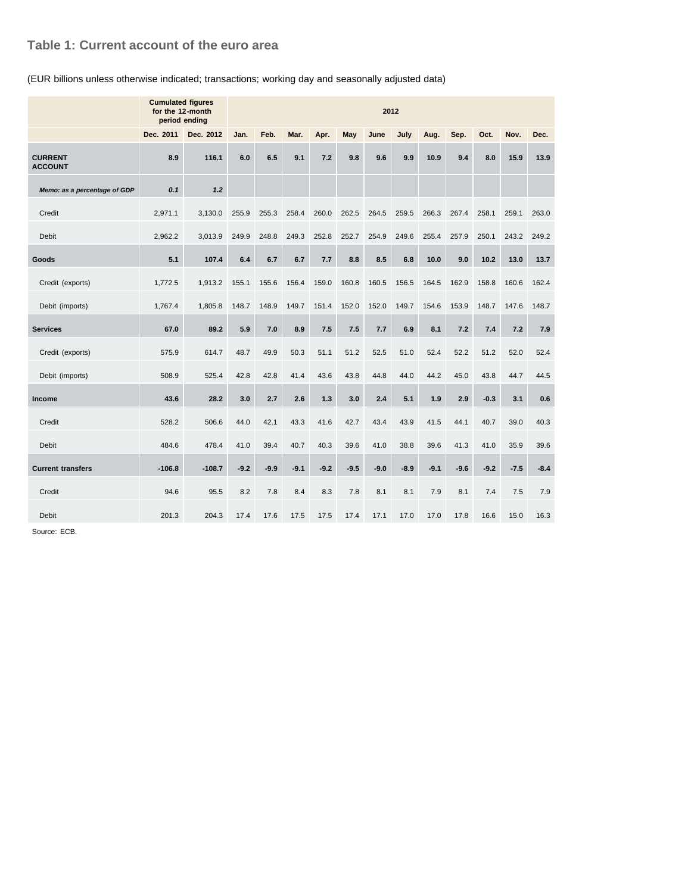## **Table 1: Current account of the euro area**

#### (EUR billions unless otherwise indicated; transactions; working day and seasonally adjusted data)

|                                  | <b>Cumulated figures</b><br>for the 12-month<br>period ending | 2012      |        |        |        |        |        |        |        |        |        |        |        |        |
|----------------------------------|---------------------------------------------------------------|-----------|--------|--------|--------|--------|--------|--------|--------|--------|--------|--------|--------|--------|
|                                  | Dec. 2011                                                     | Dec. 2012 | Jan.   | Feb.   | Mar.   | Apr.   | May    | June   | July   | Aug.   | Sep.   | Oct.   | Nov.   | Dec.   |
| <b>CURRENT</b><br><b>ACCOUNT</b> | 8.9                                                           | 116.1     | 6.0    | 6.5    | 9.1    | 7.2    | 9.8    | 9.6    | 9.9    | 10.9   | 9.4    | 8.0    | 15.9   | 13.9   |
| Memo: as a percentage of GDP     | 0.1                                                           | 1.2       |        |        |        |        |        |        |        |        |        |        |        |        |
| Credit                           | 2,971.1                                                       | 3,130.0   | 255.9  | 255.3  | 258.4  | 260.0  | 262.5  | 264.5  | 259.5  | 266.3  | 267.4  | 258.1  | 259.1  | 263.0  |
| <b>Debit</b>                     | 2,962.2                                                       | 3,013.9   | 249.9  | 248.8  | 249.3  | 252.8  | 252.7  | 254.9  | 249.6  | 255.4  | 257.9  | 250.1  | 243.2  | 249.2  |
| Goods                            | 5.1                                                           | 107.4     | 6.4    | 6.7    | 6.7    | 7.7    | 8.8    | 8.5    | 6.8    | 10.0   | 9.0    | 10.2   | 13.0   | 13.7   |
| Credit (exports)                 | 1,772.5                                                       | 1,913.2   | 155.1  | 155.6  | 156.4  | 159.0  | 160.8  | 160.5  | 156.5  | 164.5  | 162.9  | 158.8  | 160.6  | 162.4  |
| Debit (imports)                  | 1,767.4                                                       | 1,805.8   | 148.7  | 148.9  | 149.7  | 151.4  | 152.0  | 152.0  | 149.7  | 154.6  | 153.9  | 148.7  | 147.6  | 148.7  |
| <b>Services</b>                  | 67.0                                                          | 89.2      | 5.9    | 7.0    | 8.9    | 7.5    | 7.5    | 7.7    | 6.9    | 8.1    | 7.2    | 7.4    | 7.2    | 7.9    |
| Credit (exports)                 | 575.9                                                         | 614.7     | 48.7   | 49.9   | 50.3   | 51.1   | 51.2   | 52.5   | 51.0   | 52.4   | 52.2   | 51.2   | 52.0   | 52.4   |
| Debit (imports)                  | 508.9                                                         | 525.4     | 42.8   | 42.8   | 41.4   | 43.6   | 43.8   | 44.8   | 44.0   | 44.2   | 45.0   | 43.8   | 44.7   | 44.5   |
| Income                           | 43.6                                                          | 28.2      | 3.0    | 2.7    | 2.6    | 1.3    | 3.0    | 2.4    | 5.1    | 1.9    | 2.9    | $-0.3$ | 3.1    | 0.6    |
| Credit                           | 528.2                                                         | 506.6     | 44.0   | 42.1   | 43.3   | 41.6   | 42.7   | 43.4   | 43.9   | 41.5   | 44.1   | 40.7   | 39.0   | 40.3   |
| Debit                            | 484.6                                                         | 478.4     | 41.0   | 39.4   | 40.7   | 40.3   | 39.6   | 41.0   | 38.8   | 39.6   | 41.3   | 41.0   | 35.9   | 39.6   |
| <b>Current transfers</b>         | $-106.8$                                                      | $-108.7$  | $-9.2$ | $-9.9$ | $-9.1$ | $-9.2$ | $-9.5$ | $-9.0$ | $-8.9$ | $-9.1$ | $-9.6$ | $-9.2$ | $-7.5$ | $-8.4$ |
| Credit                           | 94.6                                                          | 95.5      | 8.2    | 7.8    | 8.4    | 8.3    | 7.8    | 8.1    | 8.1    | 7.9    | 8.1    | 7.4    | 7.5    | 7.9    |
| Debit                            | 201.3                                                         | 204.3     | 17.4   | 17.6   | 17.5   | 17.5   | 17.4   | 17.1   | 17.0   | 17.0   | 17.8   | 16.6   | 15.0   | 16.3   |

Source: ECB.